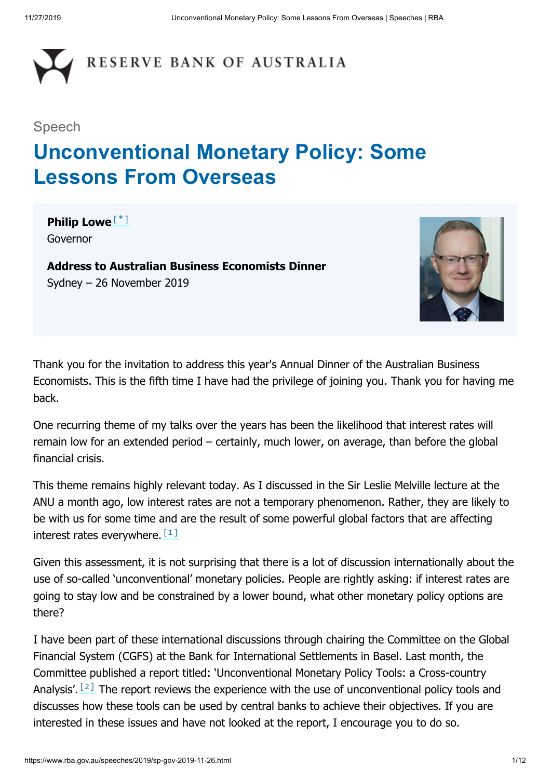

#### Speech

# **Unconventional Monetary Policy: Some Lessons From Overseas**

<span id="page-0-0"></span>**Philip Lowe** [\*] Governor

**Address to Australian Business Economists Dinner** Sydney – 26 November 2019



Thank you for the invitation to address this year's Annual Dinner of the Australian Business Economists. This is the fifth time I have had the privilege of joining you. Thank you for having me back.

One recurring theme of my talks over the years has been the likelihood that interest rates will remain low for an extended period – certainly, much lower, on average, than before the global financial crisis.

This theme remains highly relevant today. As I discussed in the Sir Leslie Melville lecture at the ANU a month ago, low interest rates are not a temporary phenomenon. Rather, they are likely to be with us for some time and are the result of some powerful global factors that are affecting interest rates everywhere. [1]

<span id="page-0-1"></span>Given this assessment, it is not surprising that there is a lot of discussion internationally about the use of so-called 'unconventional' monetary policies. People are rightly asking: if interest rates are going to stay low and be constrained by a lower bound, what other monetary policy options are there?

<span id="page-0-2"></span>I have been part of these international discussions through chairing the Committee on the Global Financial System (CGFS) at the Bank for International Settlements in Basel. Last month, the Committee published a report titled: 'Unconventional Monetary Policy Tools: a Cross-country Analysis'.  $[2]$  The report reviews the experience with the use of unconventional policy tools and discusses how these tools can be used by central banks to achieve their objectives. If you are interested in these issues and have not looked at the report, I encourage you to do so.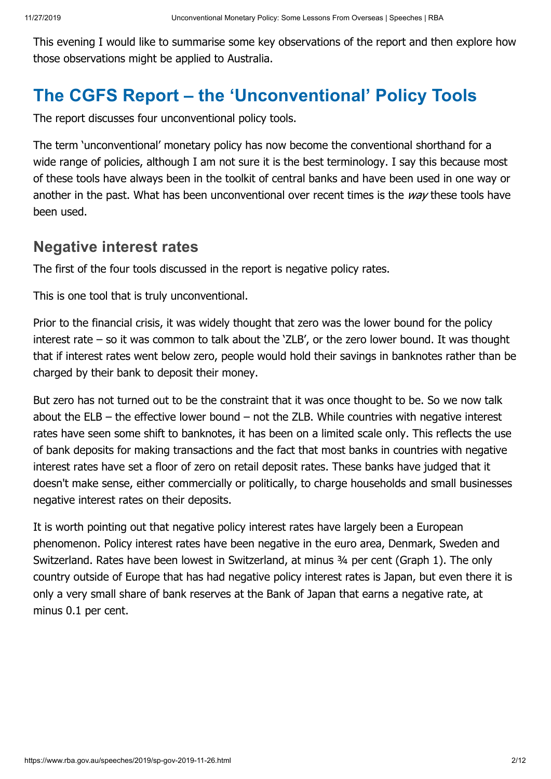This evening I would like to summarise some key observations of the report and then explore how those observations might be applied to Australia.

# **The CGFS Report – the 'Unconventional' Policy Tools**

The report discusses four unconventional policy tools.

The term 'unconventional' monetary policy has now become the conventional shorthand for a wide range of policies, although I am not sure it is the best terminology. I say this because most of these tools have always been in the toolkit of central banks and have been used in one way or another in the past. What has been unconventional over recent times is the way these tools have been used.

#### **Negative interest rates**

The first of the four tools discussed in the report is negative policy rates.

This is one tool that is truly unconventional.

Prior to the financial crisis, it was widely thought that zero was the lower bound for the policy interest rate – so it was common to talk about the 'ZLB', or the zero lower bound. It was thought that if interest rates went below zero, people would hold their savings in banknotes rather than be charged by their bank to deposit their money.

But zero has not turned out to be the constraint that it was once thought to be. So we now talk about the  $ELB -$  the effective lower bound  $-$  not the ZLB. While countries with negative interest rates have seen some shift to banknotes, it has been on a limited scale only. This reflects the use of bank deposits for making transactions and the fact that most banks in countries with negative interest rates have set a floor of zero on retail deposit rates. These banks have judged that it doesn't make sense, either commercially or politically, to charge households and small businesses negative interest rates on their deposits.

It is worth pointing out that negative policy interest rates have largely been a European phenomenon. Policy interest rates have been negative in the euro area, Denmark, Sweden and Switzerland. Rates have been lowest in Switzerland, at minus 34 per cent (Graph 1). The only country outside of Europe that has had negative policy interest rates is Japan, but even there it is only a very small share of bank reserves at the Bank of Japan that earns a negative rate, at minus 0.1 per cent.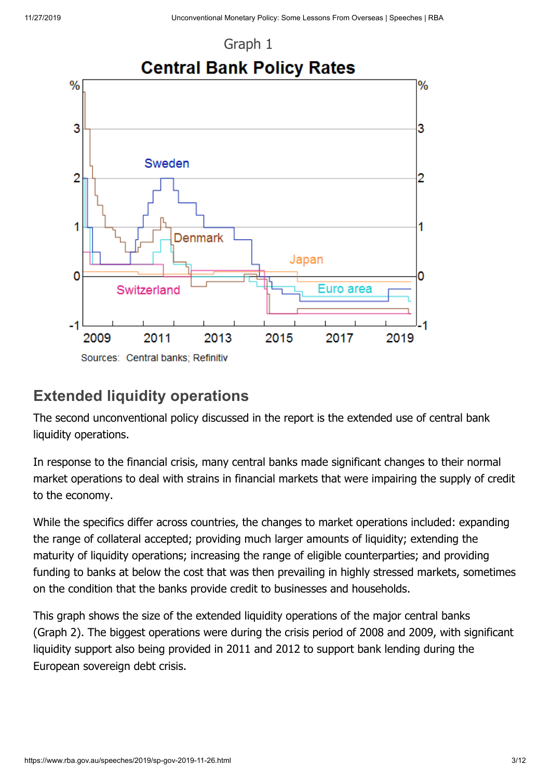

### **Extended liquidity operations**

The second unconventional policy discussed in the report is the extended use of central bank liquidity operations.

In response to the financial crisis, many central banks made significant changes to their normal market operations to deal with strains in financial markets that were impairing the supply of credit to the economy.

While the specifics differ across countries, the changes to market operations included: expanding the range of collateral accepted; providing much larger amounts of liquidity; extending the maturity of liquidity operations; increasing the range of eligible counterparties; and providing funding to banks at below the cost that was then prevailing in highly stressed markets, sometimes on the condition that the banks provide credit to businesses and households.

This graph shows the size of the extended liquidity operations of the major central banks (Graph 2). The biggest operations were during the crisis period of 2008 and 2009, with significant liquidity support also being provided in 2011 and 2012 to support bank lending during the European sovereign debt crisis.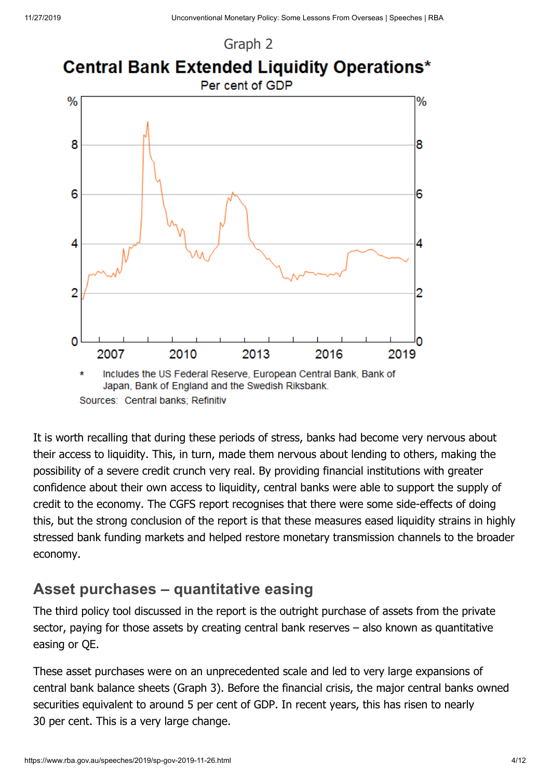Graph 2

![](_page_3_Figure_3.jpeg)

It is worth recalling that during these periods of stress, banks had become very nervous about their access to liquidity. This, in turn, made them nervous about lending to others, making the possibility of a severe credit crunch very real. By providing financial institutions with greater confidence about their own access to liquidity, central banks were able to support the supply of credit to the economy. The CGFS report recognises that there were some side-effects of doing this, but the strong conclusion of the report is that these measures eased liquidity strains in highly stressed bank funding markets and helped restore monetary transmission channels to the broader economy.

#### **Asset purchases – quantitative easing**

The third policy tool discussed in the report is the outright purchase of assets from the private sector, paying for those assets by creating central bank reserves – also known as quantitative easing or QE.

These asset purchases were on an unprecedented scale and led to very large expansions of central bank balance sheets (Graph 3). Before the financial crisis, the major central banks owned securities equivalent to around 5 per cent of GDP. In recent years, this has risen to nearly 30 per cent. This is a very large change.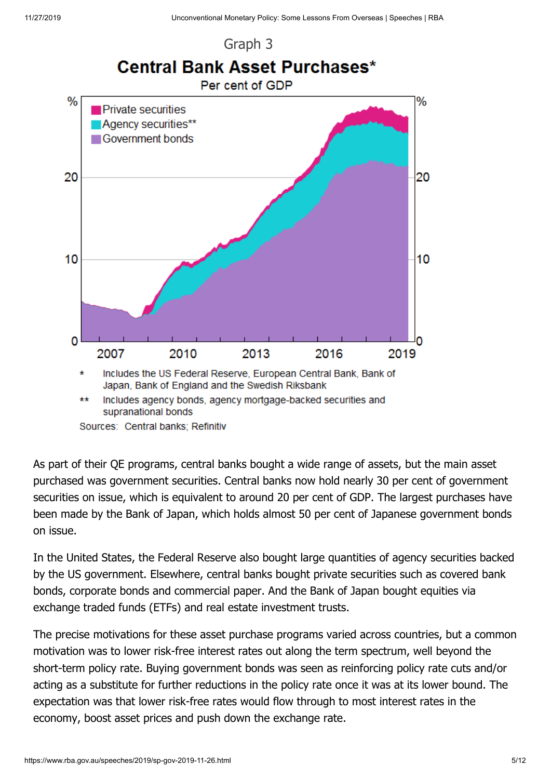![](_page_4_Figure_2.jpeg)

![](_page_4_Figure_3.jpeg)

As part of their QE programs, central banks bought a wide range of assets, but the main asset purchased was government securities. Central banks now hold nearly 30 per cent of government securities on issue, which is equivalent to around 20 per cent of GDP. The largest purchases have been made by the Bank of Japan, which holds almost 50 per cent of Japanese government bonds on issue.

In the United States, the Federal Reserve also bought large quantities of agency securities backed by the US government. Elsewhere, central banks bought private securities such as covered bank bonds, corporate bonds and commercial paper. And the Bank of Japan bought equities via exchange traded funds (ETFs) and real estate investment trusts.

The precise motivations for these asset purchase programs varied across countries, but a common motivation was to lower risk-free interest rates out along the term spectrum, well beyond the short-term policy rate. Buying government bonds was seen as reinforcing policy rate cuts and/or acting as a substitute for further reductions in the policy rate once it was at its lower bound. The expectation was that lower risk-free rates would flow through to most interest rates in the economy, boost asset prices and push down the exchange rate.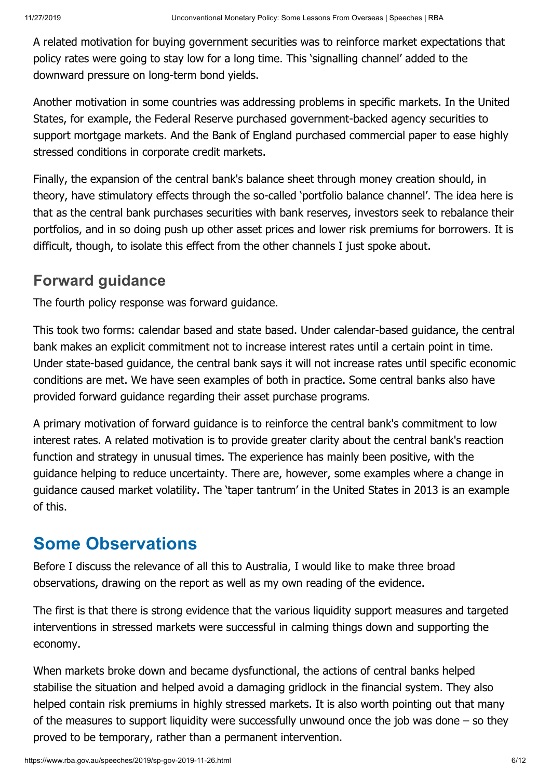A related motivation for buying government securities was to reinforce market expectations that policy rates were going to stay low for a long time. This 'signalling channel' added to the downward pressure on long-term bond yields.

Another motivation in some countries was addressing problems in specific markets. In the United States, for example, the Federal Reserve purchased government-backed agency securities to support mortgage markets. And the Bank of England purchased commercial paper to ease highly stressed conditions in corporate credit markets.

Finally, the expansion of the central bank's balance sheet through money creation should, in theory, have stimulatory effects through the so-called 'portfolio balance channel'. The idea here is that as the central bank purchases securities with bank reserves, investors seek to rebalance their portfolios, and in so doing push up other asset prices and lower risk premiums for borrowers. It is difficult, though, to isolate this effect from the other channels I just spoke about.

#### **Forward guidance**

The fourth policy response was forward guidance.

This took two forms: calendar based and state based. Under calendar-based guidance, the central bank makes an explicit commitment not to increase interest rates until a certain point in time. Under state-based guidance, the central bank says it will not increase rates until specific economic conditions are met. We have seen examples of both in practice. Some central banks also have provided forward guidance regarding their asset purchase programs.

A primary motivation of forward guidance is to reinforce the central bank's commitment to low interest rates. A related motivation is to provide greater clarity about the central bank's reaction function and strategy in unusual times. The experience has mainly been positive, with the guidance helping to reduce uncertainty. There are, however, some examples where a change in guidance caused market volatility. The 'taper tantrum' in the United States in 2013 is an example of this.

## **Some Observations**

Before I discuss the relevance of all this to Australia, I would like to make three broad observations, drawing on the report as well as my own reading of the evidence.

The first is that there is strong evidence that the various liquidity support measures and targeted interventions in stressed markets were successful in calming things down and supporting the economy.

When markets broke down and became dysfunctional, the actions of central banks helped stabilise the situation and helped avoid a damaging gridlock in the financial system. They also helped contain risk premiums in highly stressed markets. It is also worth pointing out that many of the measures to support liquidity were successfully unwound once the job was done – so they proved to be temporary, rather than a permanent intervention.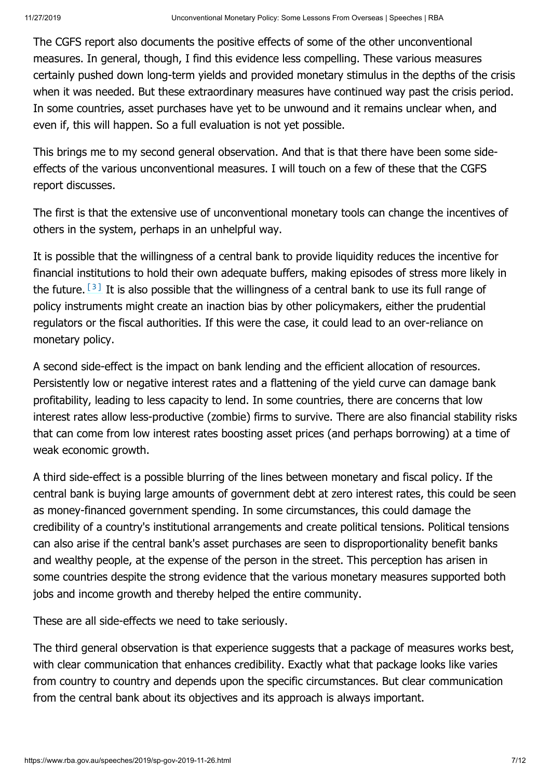The CGFS report also documents the positive effects of some of the other unconventional measures. In general, though, I find this evidence less compelling. These various measures certainly pushed down long-term yields and provided monetary stimulus in the depths of the crisis when it was needed. But these extraordinary measures have continued way past the crisis period. In some countries, asset purchases have yet to be unwound and it remains unclear when, and even if, this will happen. So a full evaluation is not yet possible.

This brings me to my second general observation. And that is that there have been some sideeffects of the various unconventional measures. I will touch on a few of these that the CGFS report discusses.

The first is that the extensive use of unconventional monetary tools can change the incentives of others in the system, perhaps in an unhelpful way.

<span id="page-6-0"></span>It is possible that the willingness of a central bank to provide liquidity reduces the incentive for financial institutions to hold their own adequate buffers, making episodes of stress more likely in the future.  $[3]$  It is also possible that the willingness of a central bank to use its full range of policy instruments might create an inaction bias by other policymakers, either the prudential regulators or the fiscal authorities. If this were the case, it could lead to an over-reliance on monetary policy.

A second side-effect is the impact on bank lending and the efficient allocation of resources. Persistently low or negative interest rates and a flattening of the yield curve can damage bank profitability, leading to less capacity to lend. In some countries, there are concerns that low interest rates allow less-productive (zombie) firms to survive. There are also financial stability risks that can come from low interest rates boosting asset prices (and perhaps borrowing) at a time of weak economic growth.

A third side-effect is a possible blurring of the lines between monetary and fiscal policy. If the central bank is buying large amounts of government debt at zero interest rates, this could be seen as money-financed government spending. In some circumstances, this could damage the credibility of a country's institutional arrangements and create political tensions. Political tensions can also arise if the central bank's asset purchases are seen to disproportionality benefit banks and wealthy people, at the expense of the person in the street. This perception has arisen in some countries despite the strong evidence that the various monetary measures supported both jobs and income growth and thereby helped the entire community.

These are all side-effects we need to take seriously.

The third general observation is that experience suggests that a package of measures works best, with clear communication that enhances credibility. Exactly what that package looks like varies from country to country and depends upon the specific circumstances. But clear communication from the central bank about its objectives and its approach is always important.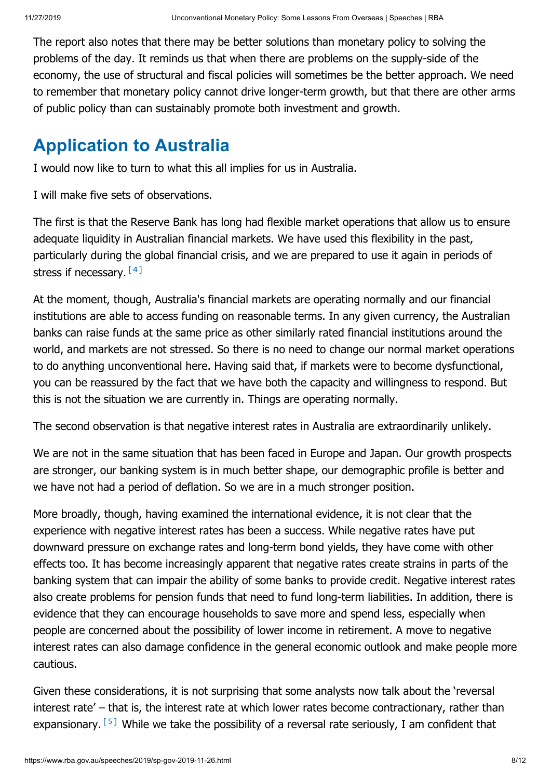The report also notes that there may be better solutions than monetary policy to solving the problems of the day. It reminds us that when there are problems on the supply-side of the economy, the use of structural and fiscal policies will sometimes be the better approach. We need to remember that monetary policy cannot drive longer-term growth, but that there are other arms of public policy than can sustainably promote both investment and growth.

# **Application to Australia**

I would now like to turn to what this all implies for us in Australia.

I will make five sets of observations.

The first is that the Reserve Bank has long had flexible market operations that allow us to ensure adequate liquidity in Australian financial markets. We have used this flexibility in the past, particularly during the global financial crisis, and we are prepared to use it again in periods of stress if necessary. [4]

<span id="page-7-0"></span>At the moment, though, Australia's financial markets are operating normally and our financial institutions are able to access funding on reasonable terms. In any given currency, the Australian banks can raise funds at the same price as other similarly rated financial institutions around the world, and markets are not stressed. So there is no need to change our normal market operations to do anything unconventional here. Having said that, if markets were to become dysfunctional, you can be reassured by the fact that we have both the capacity and willingness to respond. But this is not the situation we are currently in. Things are operating normally.

The second observation is that negative interest rates in Australia are extraordinarily unlikely.

We are not in the same situation that has been faced in Europe and Japan. Our growth prospects are stronger, our banking system is in much better shape, our demographic profile is better and we have not had a period of deflation. So we are in a much stronger position.

More broadly, though, having examined the international evidence, it is not clear that the experience with negative interest rates has been a success. While negative rates have put downward pressure on exchange rates and long-term bond yields, they have come with other effects too. It has become increasingly apparent that negative rates create strains in parts of the banking system that can impair the ability of some banks to provide credit. Negative interest rates also create problems for pension funds that need to fund long-term liabilities. In addition, there is evidence that they can encourage households to save more and spend less, especially when people are concerned about the possibility of lower income in retirement. A move to negative interest rates can also damage confidence in the general economic outlook and make people more cautious.

<span id="page-7-1"></span>Given these considerations, it is not surprising that some analysts now talk about the 'reversal interest rate' – that is, the interest rate at which lower rates become contractionary, rather than expansionary.  $\left[5\right]$  While we take the possibility of a reversal rate seriously, I am confident that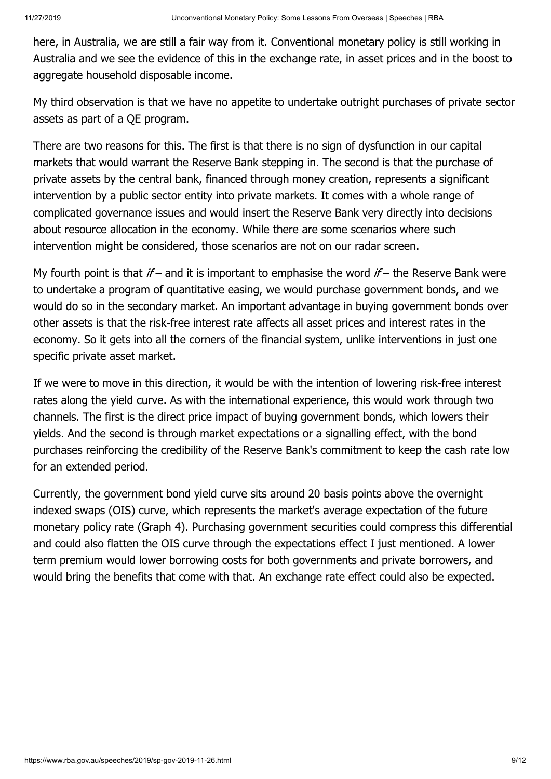here, in Australia, we are still a fair way from it. Conventional monetary policy is still working in Australia and we see the evidence of this in the exchange rate, in asset prices and in the boost to aggregate household disposable income.

My third observation is that we have no appetite to undertake outright purchases of private sector assets as part of a QE program.

There are two reasons for this. The first is that there is no sign of dysfunction in our capital markets that would warrant the Reserve Bank stepping in. The second is that the purchase of private assets by the central bank, financed through money creation, represents a significant intervention by a public sector entity into private markets. It comes with a whole range of complicated governance issues and would insert the Reserve Bank very directly into decisions about resource allocation in the economy. While there are some scenarios where such intervention might be considered, those scenarios are not on our radar screen.

My fourth point is that  $if$  – and it is important to emphasise the word  $if$  – the Reserve Bank were to undertake a program of quantitative easing, we would purchase government bonds, and we would do so in the secondary market. An important advantage in buying government bonds over other assets is that the risk-free interest rate affects all asset prices and interest rates in the economy. So it gets into all the corners of the financial system, unlike interventions in just one specific private asset market.

If we were to move in this direction, it would be with the intention of lowering risk-free interest rates along the yield curve. As with the international experience, this would work through two channels. The first is the direct price impact of buying government bonds, which lowers their yields. And the second is through market expectations or a signalling effect, with the bond purchases reinforcing the credibility of the Reserve Bank's commitment to keep the cash rate low for an extended period.

Currently, the government bond yield curve sits around 20 basis points above the overnight indexed swaps (OIS) curve, which represents the market's average expectation of the future monetary policy rate (Graph 4). Purchasing government securities could compress this differential and could also flatten the OIS curve through the expectations effect I just mentioned. A lower term premium would lower borrowing costs for both governments and private borrowers, and would bring the benefits that come with that. An exchange rate effect could also be expected.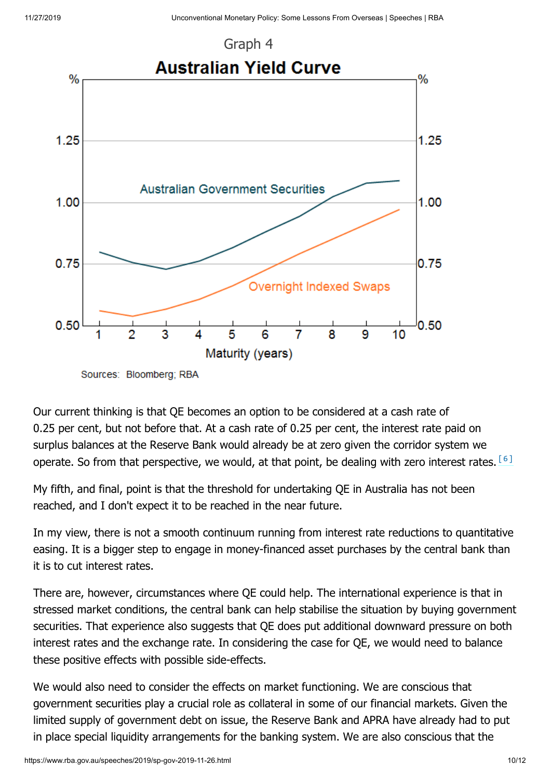![](_page_9_Figure_2.jpeg)

<span id="page-9-0"></span>Sources: Bloomberg; RBA

Our current thinking is that QE becomes an option to be considered at a cash rate of 0.25 per cent, but not before that. At a cash rate of 0.25 per cent, the interest rate paid on surplus balances at the Reserve Bank would already be at zero given the corridor system we operate. So from that perspective, we would, at that point, be dealing with zero interest rates.  $^{\text{[6]}}$ 

My fifth, and final, point is that the threshold for undertaking QE in Australia has not been reached, and I don't expect it to be reached in the near future.

In my view, there is not a smooth continuum running from interest rate reductions to quantitative easing. It is a bigger step to engage in money-financed asset purchases by the central bank than it is to cut interest rates.

There are, however, circumstances where QE could help. The international experience is that in stressed market conditions, the central bank can help stabilise the situation by buying government securities. That experience also suggests that QE does put additional downward pressure on both interest rates and the exchange rate. In considering the case for QE, we would need to balance these positive effects with possible side-effects.

We would also need to consider the effects on market functioning. We are conscious that government securities play a crucial role as collateral in some of our financial markets. Given the limited supply of government debt on issue, the Reserve Bank and APRA have already had to put in place special liquidity arrangements for the banking system. We are also conscious that the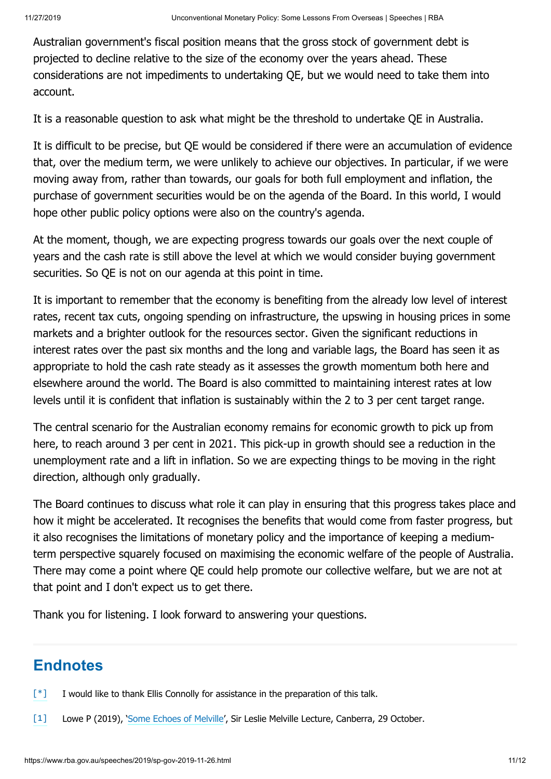Australian government's fiscal position means that the gross stock of government debt is projected to decline relative to the size of the economy over the years ahead. These considerations are not impediments to undertaking QE, but we would need to take them into account.

It is a reasonable question to ask what might be the threshold to undertake QE in Australia.

It is difficult to be precise, but QE would be considered if there were an accumulation of evidence that, over the medium term, we were unlikely to achieve our objectives. In particular, if we were moving away from, rather than towards, our goals for both full employment and inflation, the purchase of government securities would be on the agenda of the Board. In this world, I would hope other public policy options were also on the country's agenda.

At the moment, though, we are expecting progress towards our goals over the next couple of years and the cash rate is still above the level at which we would consider buying government securities. So QE is not on our agenda at this point in time.

It is important to remember that the economy is benefiting from the already low level of interest rates, recent tax cuts, ongoing spending on infrastructure, the upswing in housing prices in some markets and a brighter outlook for the resources sector. Given the significant reductions in interest rates over the past six months and the long and variable lags, the Board has seen it as appropriate to hold the cash rate steady as it assesses the growth momentum both here and elsewhere around the world. The Board is also committed to maintaining interest rates at low levels until it is confident that inflation is sustainably within the 2 to 3 per cent target range.

The central scenario for the Australian economy remains for economic growth to pick up from here, to reach around 3 per cent in 2021. This pick-up in growth should see a reduction in the unemployment rate and a lift in inflation. So we are expecting things to be moving in the right direction, although only gradually.

The Board continues to discuss what role it can play in ensuring that this progress takes place and how it might be accelerated. It recognises the benefits that would come from faster progress, but it also recognises the limitations of monetary policy and the importance of keeping a mediumterm perspective squarely focused on maximising the economic welfare of the people of Australia. There may come a point where QE could help promote our collective welfare, but we are not at that point and I don't expect us to get there.

Thank you for listening. I look forward to answering your questions.

#### **Endnotes**

- $\lceil$  | I would like to thank Ellis Connolly for assistance in the preparation of this talk.
- [\[1\]](#page-0-1) Lowe P (2019), ['Some Echoes of Melville'](https://www.rba.gov.au/speeches/2019/sp-gov-2019-10-29.html), Sir Leslie Melville Lecture, Canberra, 29 October.